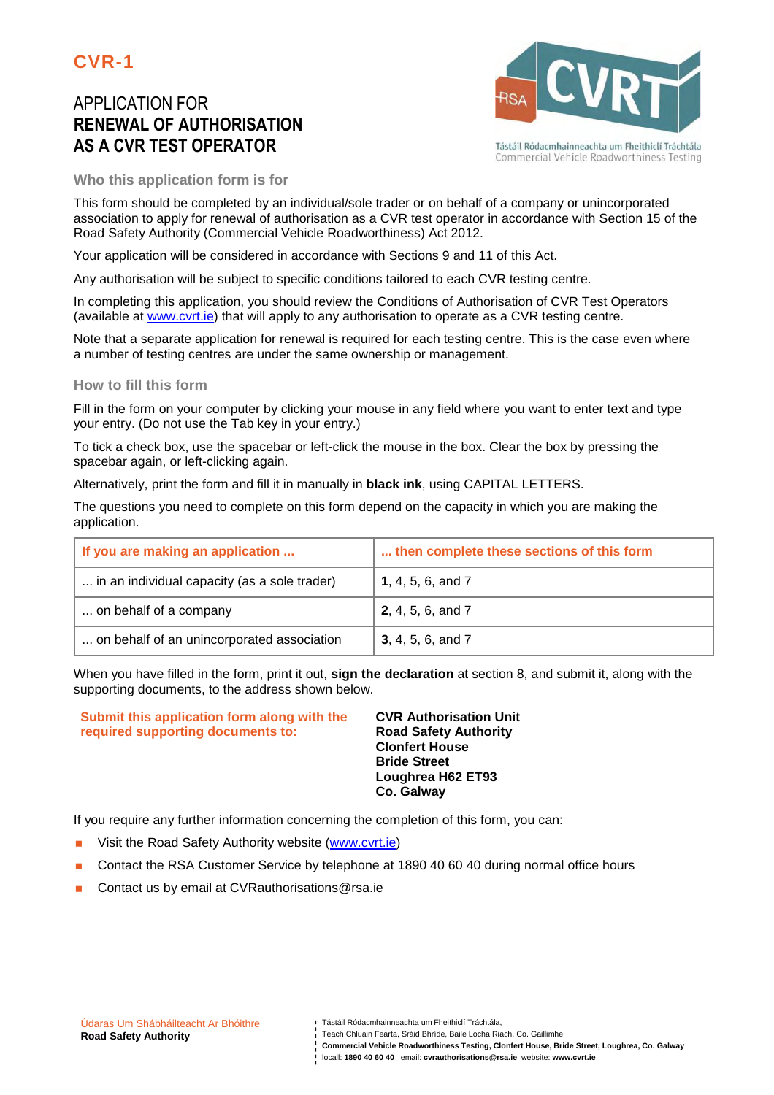# APPLICATION FOR **RENEWAL OF AUTHORISATION AS A CVR TEST OPERATOR**



Tástáil Ródacmhainneachta um Fheithiclí Tráchtála Commercial Vehicle Roadworthiness Testing

**Who this application form is for** 

This form should be completed by an individual/sole trader or on behalf of a company or unincorporated association to apply for renewal of authorisation as a CVR test operator in accordance with Section 15 of the Road Safety Authority (Commercial Vehicle Roadworthiness) Act 2012.

Your application will be considered in accordance with Sections 9 and 11 of this Act.

Any authorisation will be subject to specific conditions tailored to each CVR testing centre.

In completing this application, you should review the Conditions of Authorisation of CVR Test Operators (available at www.cvrt.ie) that will apply to any authorisation to operate as a CVR testing centre.

Note that a separate application for renewal is required for each testing centre. This is the case even where a number of testing centres are under the same ownership or management.

#### **How to fill this form**

Fill in the form on your computer by clicking your mouse in any field where you want to enter text and type your entry. (Do not use the Tab key in your entry.)

To tick a check box, use the spacebar or left-click the mouse in the box. Clear the box by pressing the spacebar again, or left-clicking again.

Alternatively, print the form and fill it in manually in **black ink**, using CAPITAL LETTERS.

The questions you need to complete on this form depend on the capacity in which you are making the application.

| If you are making an application             | then complete these sections of this form |
|----------------------------------------------|-------------------------------------------|
| in an individual capacity (as a sole trader) | 1, 4, 5, 6, and $7$                       |
| on behalf of a company                       | <b>2</b> , 4, 5, 6, and 7                 |
| on behalf of an unincorporated association   | <b>3</b> , 4, 5, 6, and 7                 |

When you have filled in the form, print it out, **sign the declaration** at section 8, and submit it, along with the supporting documents, to the address shown below.

**Submit this application form along with the required supporting documents to:** 

**CVR Authorisation Unit Road Safety Authority Clonfert House Bride Street Loughrea H62 ET93 Co. Galway**

If you require any further information concerning the completion of this form, you can:

- Visit the Road Safety Authority website (www.cvrt.ie)
- **Contact the RSA Customer Service by telephone at 1890 40 60 40 during normal office hours**
- Contact us by email at CVRauthorisations@rsa.ie

- Teach Chluain Fearta, Sráid Bhríde, Baile Locha Riach, Co. Gaillimhe
- **Commercial Vehicle Roadworthiness Testing, Clonfert House, Bride Street, Loughrea, Co. Galway**

locall: **1890 40 60 40** email: **cvrauthorisations@rsa.ie** website: **www.cvrt.ie**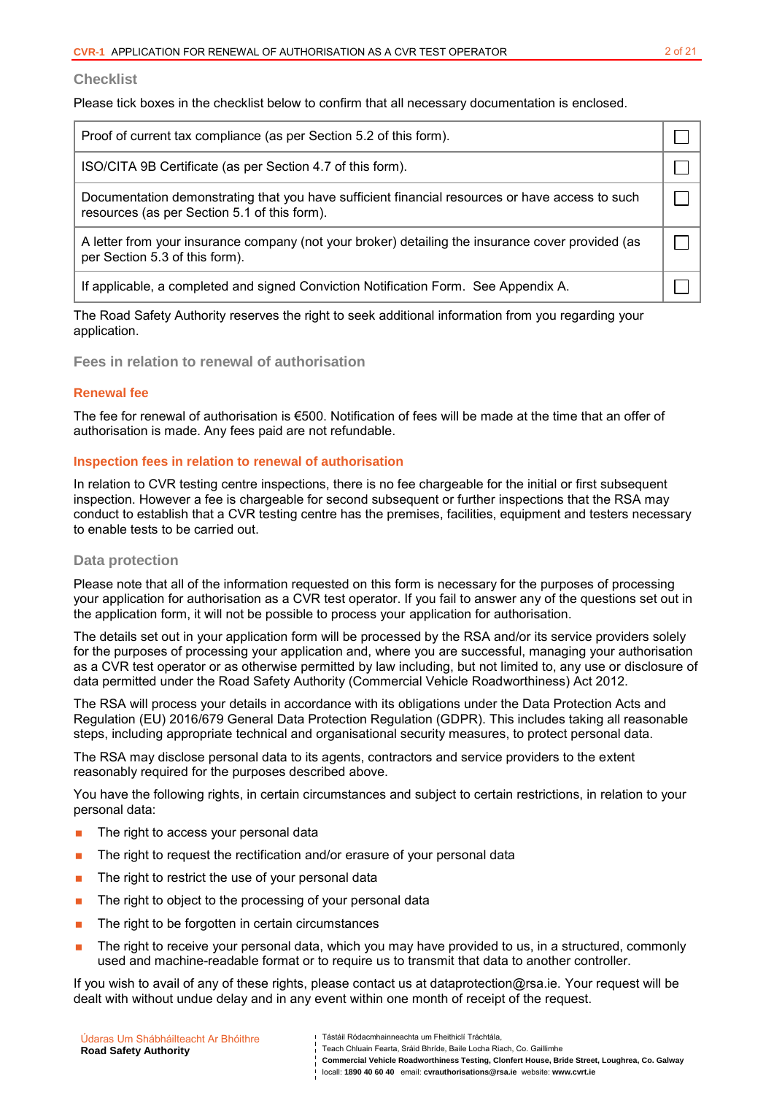#### **Checklist**

Please tick boxes in the checklist below to confirm that all necessary documentation is enclosed.

| Proof of current tax compliance (as per Section 5.2 of this form).                                                                              |  |
|-------------------------------------------------------------------------------------------------------------------------------------------------|--|
| ISO/CITA 9B Certificate (as per Section 4.7 of this form).                                                                                      |  |
| Documentation demonstrating that you have sufficient financial resources or have access to such<br>resources (as per Section 5.1 of this form). |  |
| A letter from your insurance company (not your broker) detailing the insurance cover provided (as<br>per Section 5.3 of this form).             |  |
| If applicable, a completed and signed Conviction Notification Form. See Appendix A.                                                             |  |
|                                                                                                                                                 |  |

The Road Safety Authority reserves the right to seek additional information from you regarding your application.

**Fees in relation to renewal of authorisation**

#### **Renewal fee**

The fee for renewal of authorisation is €500. Notification of fees will be made at the time that an offer of authorisation is made. Any fees paid are not refundable.

#### **Inspection fees in relation to renewal of authorisation**

In relation to CVR testing centre inspections, there is no fee chargeable for the initial or first subsequent inspection. However a fee is chargeable for second subsequent or further inspections that the RSA may conduct to establish that a CVR testing centre has the premises, facilities, equipment and testers necessary to enable tests to be carried out.

#### **Data protection**

Please note that all of the information requested on this form is necessary for the purposes of processing your application for authorisation as a CVR test operator. If you fail to answer any of the questions set out in the application form, it will not be possible to process your application for authorisation.

The details set out in your application form will be processed by the RSA and/or its service providers solely for the purposes of processing your application and, where you are successful, managing your authorisation as a CVR test operator or as otherwise permitted by law including, but not limited to, any use or disclosure of data permitted under the Road Safety Authority (Commercial Vehicle Roadworthiness) Act 2012.

The RSA will process your details in accordance with its obligations under the Data Protection Acts and Regulation (EU) 2016/679 General Data Protection Regulation (GDPR). This includes taking all reasonable steps, including appropriate technical and organisational security measures, to protect personal data.

The RSA may disclose personal data to its agents, contractors and service providers to the extent reasonably required for the purposes described above.

You have the following rights, in certain circumstances and subject to certain restrictions, in relation to your personal data:

- **The right to access your personal data**
- **The right to request the rectification and/or erasure of your personal data**
- $\blacksquare$  The right to restrict the use of your personal data
- **The right to object to the processing of your personal data**
- The right to be forgotten in certain circumstances
- **The right to receive your personal data, which you may have provided to us, in a structured, commonly** used and machine-readable format or to require us to transmit that data to another controller.

If you wish to avail of any of these rights, please contact us at dataprotection@rsa.ie. Your request will be dealt with without undue delay and in any event within one month of receipt of the request.

| Údaras Um Shábháilteacht Ar Bhóithre | Tástáil Ródacmhainneachta um Fheithiclí Tráchtála.                                                                                                                    |
|--------------------------------------|-----------------------------------------------------------------------------------------------------------------------------------------------------------------------|
| <b>Road Safety Authority</b>         | Teach Chluain Fearta, Sráid Bhríde, Baile Locha Riach, Co. Gaillimhe<br>Commercial Vehicle Roadworthiness Testing, Clonfert House, Bride Street, Loughrea, Co. Galway |
|                                      | locall: 1890 40 60 40 email: cyrauthorisations@rsa.ie website: www.cyrt.ie                                                                                            |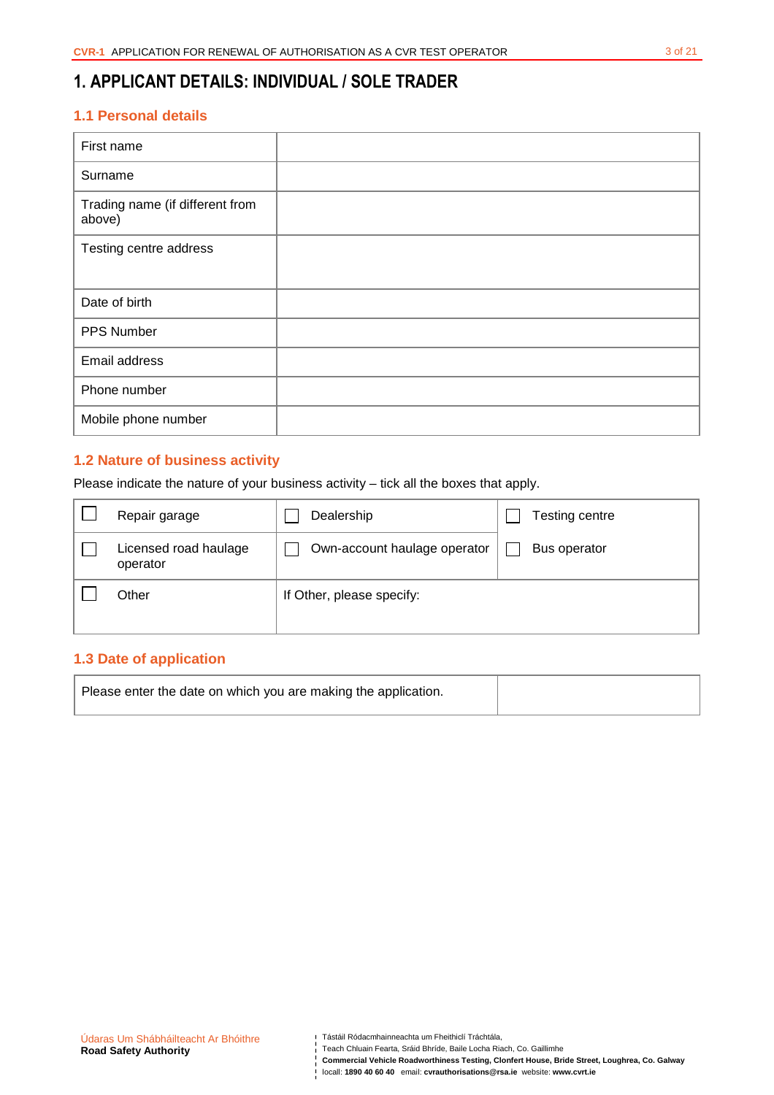# **1. APPLICANT DETAILS: INDIVIDUAL / SOLE TRADER**

## **1.1 Personal details**

| First name                                |  |
|-------------------------------------------|--|
| Surname                                   |  |
| Trading name (if different from<br>above) |  |
| Testing centre address                    |  |
|                                           |  |
| Date of birth                             |  |
| PPS Number                                |  |
| Email address                             |  |
| Phone number                              |  |
| Mobile phone number                       |  |

## **1.2 Nature of business activity**

Please indicate the nature of your business activity – tick all the boxes that apply.

| Repair garage                     | Dealership                   | Testing centre |
|-----------------------------------|------------------------------|----------------|
| Licensed road haulage<br>operator | Own-account haulage operator | Bus operator   |
| Other                             | If Other, please specify:    |                |

## **1.3 Date of application**

| Please enter the date on which you are making the application. |  |
|----------------------------------------------------------------|--|
|                                                                |  |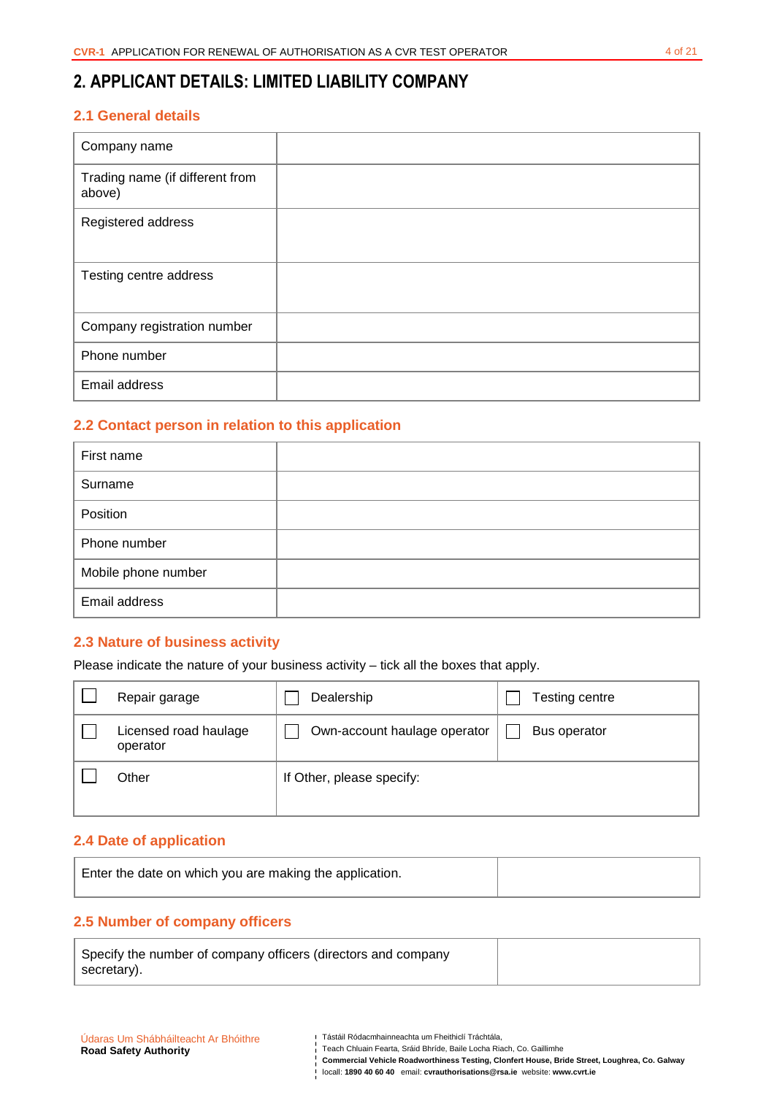# **2. APPLICANT DETAILS: LIMITED LIABILITY COMPANY**

## **2.1 General details**

| Company name                              |  |
|-------------------------------------------|--|
| Trading name (if different from<br>above) |  |
| Registered address                        |  |
| Testing centre address                    |  |
| Company registration number               |  |
| Phone number                              |  |
| Email address                             |  |

## **2.2 Contact person in relation to this application**

| First name          |  |
|---------------------|--|
| Surname             |  |
| Position            |  |
| Phone number        |  |
| Mobile phone number |  |
| Email address       |  |

## **2.3 Nature of business activity**

Please indicate the nature of your business activity – tick all the boxes that apply.

| Repair garage                     | Dealership                   | Testing centre |
|-----------------------------------|------------------------------|----------------|
| Licensed road haulage<br>operator | Own-account haulage operator | Bus operator   |
| Other                             | If Other, please specify:    |                |

## **2.4 Date of application**

| Enter the date on which you are making the application. |  |
|---------------------------------------------------------|--|
|                                                         |  |

## **2.5 Number of company officers**

| Specify the number of company officers (directors and company |  |
|---------------------------------------------------------------|--|
| secretary).                                                   |  |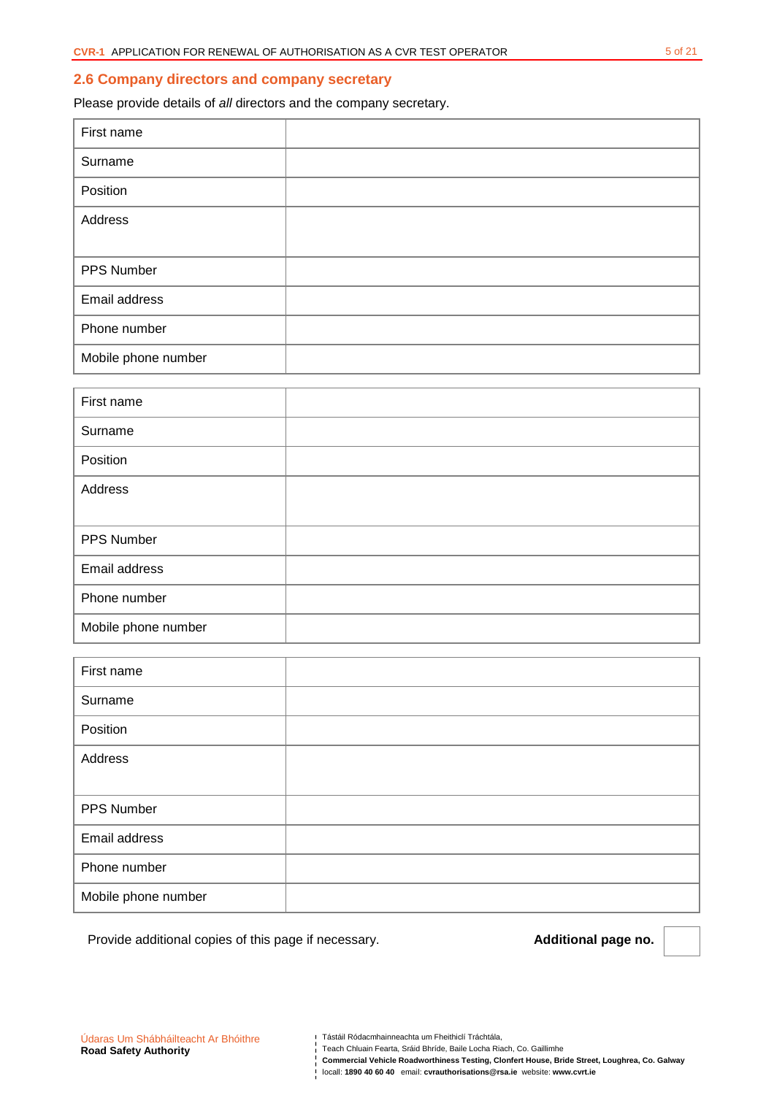#### **2.6 Company directors and company secretary**

Please provide details of all directors and the company secretary.

| First name          |  |
|---------------------|--|
| Surname             |  |
| Position            |  |
| Address             |  |
|                     |  |
| PPS Number          |  |
| Email address       |  |
| Phone number        |  |
| Mobile phone number |  |

| First name          |  |
|---------------------|--|
| Surname             |  |
| Position            |  |
| Address             |  |
|                     |  |
| PPS Number          |  |
| Email address       |  |
| Phone number        |  |
| Mobile phone number |  |

| First name          |  |
|---------------------|--|
| Surname             |  |
| Position            |  |
| Address             |  |
|                     |  |
| PPS Number          |  |
| Email address       |  |
| Phone number        |  |
| Mobile phone number |  |

Provide additional copies of this page if necessary. **Additional page no. Additional page no.** 

Teach Chluain Fearta, Sráid Bhríde, Baile Locha Riach, Co. Gaillimhe

**Commercial Vehicle Roadworthiness Testing, Clonfert House, Bride Street, Loughrea, Co. Galway**  locall: **1890 40 60 40** email: **cvrauthorisations@rsa.ie** website: **www.cvrt.ie**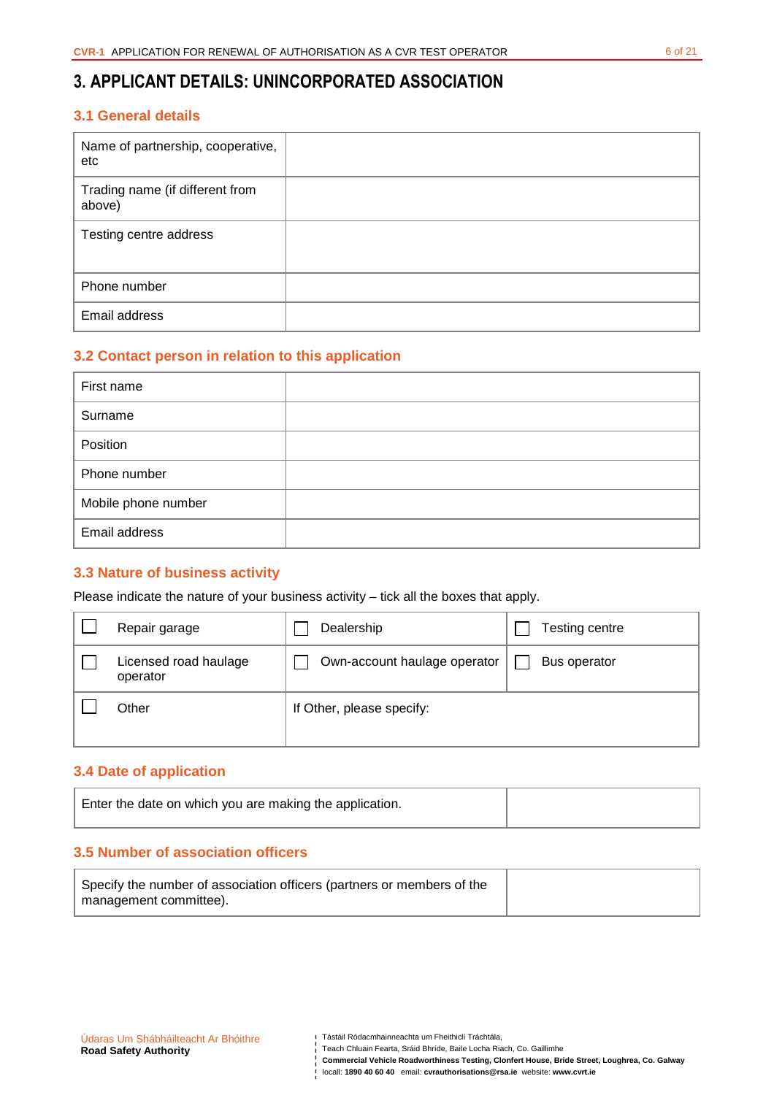## **3. APPLICANT DETAILS: UNINCORPORATED ASSOCIATION**

## **3.1 General details**

| Name of partnership, cooperative,<br>etc  |  |
|-------------------------------------------|--|
| Trading name (if different from<br>above) |  |
| Testing centre address                    |  |
| Phone number                              |  |
| Email address                             |  |

## **3.2 Contact person in relation to this application**

| First name          |  |
|---------------------|--|
| Surname             |  |
| Position            |  |
| Phone number        |  |
| Mobile phone number |  |
| Email address       |  |

### **3.3 Nature of business activity**

Please indicate the nature of your business activity – tick all the boxes that apply.

| Repair garage                     | Dealership                   | Testing centre |
|-----------------------------------|------------------------------|----------------|
| Licensed road haulage<br>operator | Own-account haulage operator | Bus operator   |
| Other                             | If Other, please specify:    |                |

### **3.4 Date of application**

| Enter the date on which you are making the application. |  |
|---------------------------------------------------------|--|
|                                                         |  |

## **3.5 Number of association officers**

| Specify the number of association officers (partners or members of the |  |
|------------------------------------------------------------------------|--|
| management committee).                                                 |  |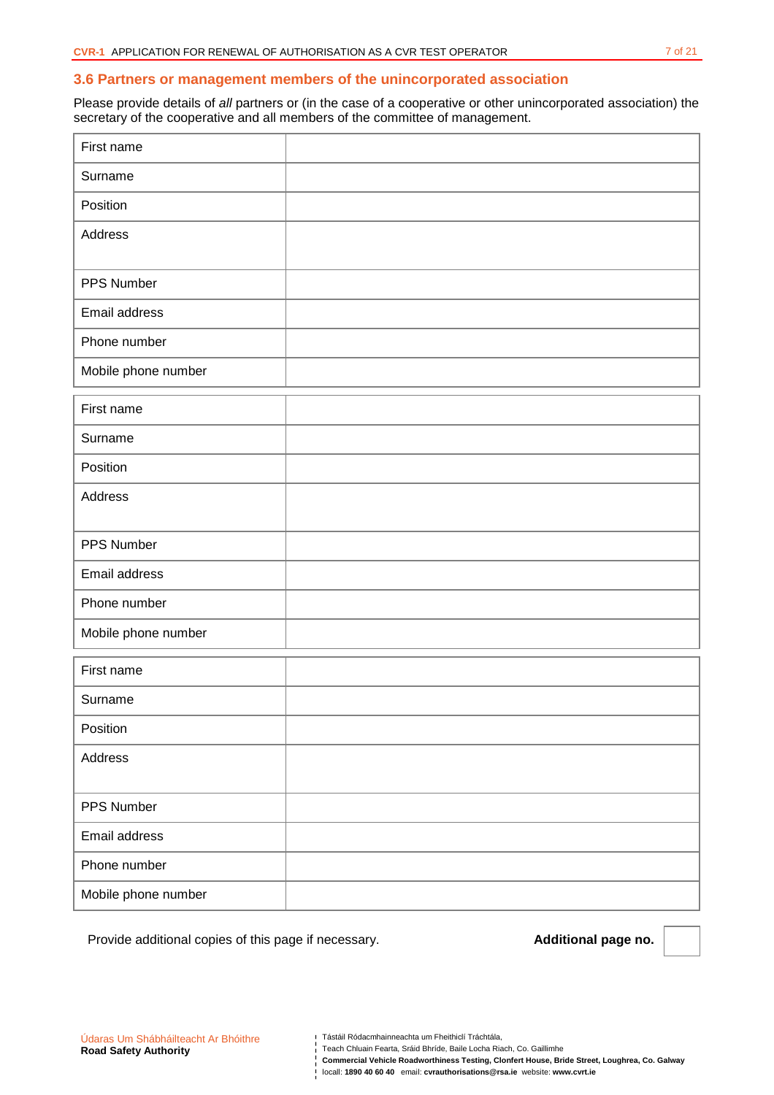#### **3.6 Partners or management members of the unincorporated association**

Please provide details of all partners or (in the case of a cooperative or other unincorporated association) the secretary of the cooperative and all members of the committee of management.

| First name          |  |
|---------------------|--|
| Surname             |  |
| Position            |  |
| Address             |  |
|                     |  |
| PPS Number          |  |
| Email address       |  |
| Phone number        |  |
| Mobile phone number |  |
| First name          |  |
| Surname             |  |
| Position            |  |
| Address             |  |
|                     |  |
| PPS Number          |  |
| Email address       |  |
| Phone number        |  |
| Mobile phone number |  |
| First name          |  |
| Surname             |  |
| Position            |  |
| Address             |  |
|                     |  |
| PPS Number          |  |
| Email address       |  |
| Phone number        |  |
| Mobile phone number |  |

Provide additional copies of this page if necessary. **Additional page no. Additional page no.** 

Teach Chluain Fearta, Sráid Bhríde, Baile Locha Riach, Co. Gaillimhe

**Commercial Vehicle Roadworthiness Testing, Clonfert House, Bride Street, Loughrea, Co. Galway**  locall: **1890 40 60 40** email: **cvrauthorisations@rsa.ie** website: **www.cvrt.ie**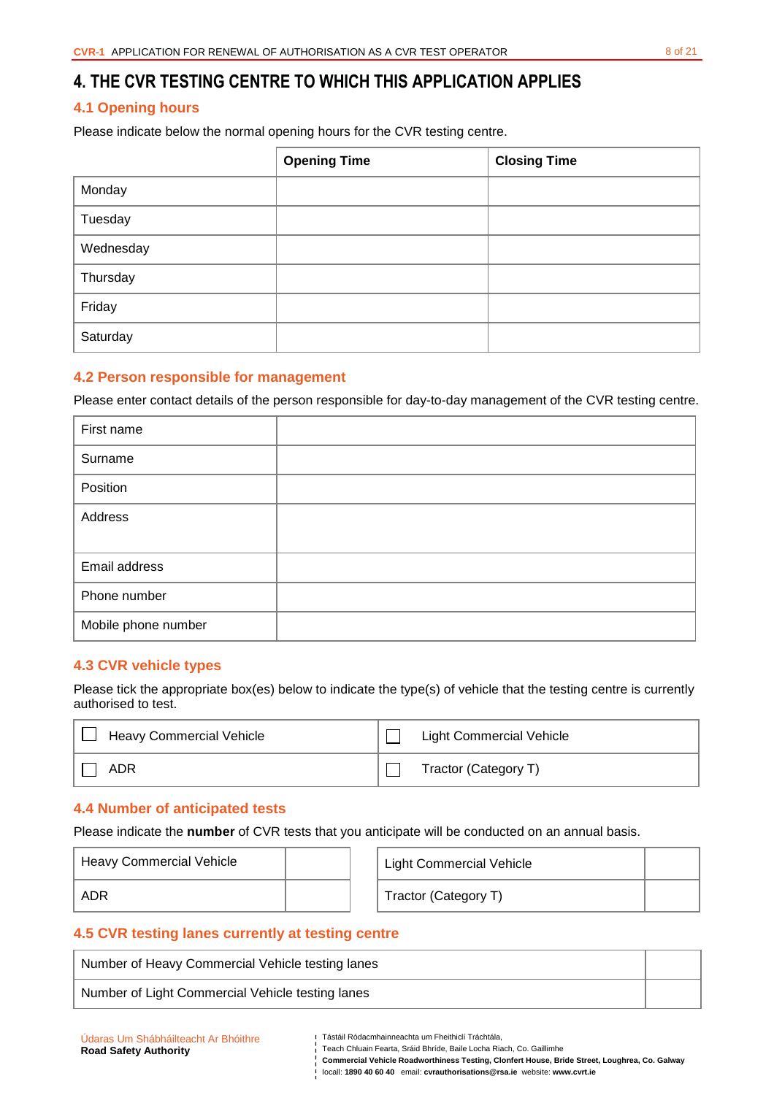## **4. THE CVR TESTING CENTRE TO WHICH THIS APPLICATION APPLIES**

## **4.1 Opening hours**

Please indicate below the normal opening hours for the CVR testing centre.

|           | <b>Opening Time</b> | <b>Closing Time</b> |
|-----------|---------------------|---------------------|
| Monday    |                     |                     |
| Tuesday   |                     |                     |
| Wednesday |                     |                     |
| Thursday  |                     |                     |
| Friday    |                     |                     |
| Saturday  |                     |                     |

#### **4.2 Person responsible for management**

Please enter contact details of the person responsible for day-to-day management of the CVR testing centre.

| First name          |  |
|---------------------|--|
| Surname             |  |
| Position            |  |
| Address             |  |
|                     |  |
| Email address       |  |
| Phone number        |  |
| Mobile phone number |  |

### **4.3 CVR vehicle types**

Please tick the appropriate box(es) below to indicate the type(s) of vehicle that the testing centre is currently authorised to test.

| Heavy Commercial Vehicle | <b>Light Commercial Vehicle</b> |
|--------------------------|---------------------------------|
| ADR                      | Tractor (Category T)            |

#### **4.4 Number of anticipated tests**

Please indicate the **number** of CVR tests that you anticipate will be conducted on an annual basis.

| Heavy Commercial Vehicle |  | <b>Light Commercial Vehicle</b> |  |
|--------------------------|--|---------------------------------|--|
| ADR                      |  | Tractor (Category T)            |  |

### **4.5 CVR testing lanes currently at testing centre**

| Number of Heavy Commercial Vehicle testing lanes |  |  |  |  |
|--------------------------------------------------|--|--|--|--|
| Number of Light Commercial Vehicle testing lanes |  |  |  |  |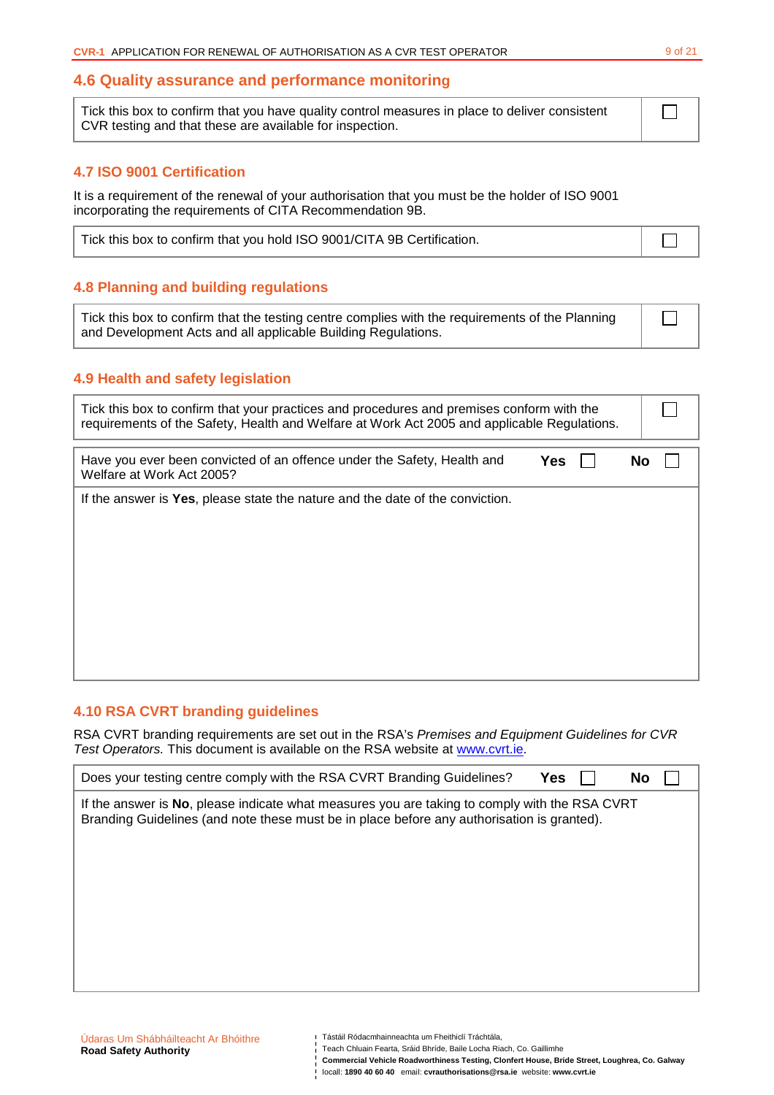### **4.6 Quality assurance and performance monitoring**

Tick this box to confirm that you have quality control measures in place to deliver consistent CVR testing and that these are available for inspection.

## **4.7 ISO 9001 Certification**

It is a requirement of the renewal of your authorisation that you must be the holder of ISO 9001 incorporating the requirements of CITA Recommendation 9B.

| Tick this box to confirm that you hold ISO 9001/CITA 9B Certification. |  |
|------------------------------------------------------------------------|--|
|                                                                        |  |

## **4.8 Planning and building regulations**

Tick this box to confirm that the testing centre complies with the requirements of the Planning and Development Acts and all applicable Building Regulations.

### **4.9 Health and safety legislation**

| Tick this box to confirm that your practices and procedures and premises conform with the<br>requirements of the Safety, Health and Welfare at Work Act 2005 and applicable Regulations. |            |  |           |  |
|------------------------------------------------------------------------------------------------------------------------------------------------------------------------------------------|------------|--|-----------|--|
| Have you ever been convicted of an offence under the Safety, Health and<br>Welfare at Work Act 2005?                                                                                     | <b>Yes</b> |  | <b>No</b> |  |
| If the answer is Yes, please state the nature and the date of the conviction.                                                                                                            |            |  |           |  |

## **4.10 RSA CVRT branding guidelines**

RSA CVRT branding requirements are set out in the RSA's Premises and Equipment Guidelines for CVR Test Operators. This document is available on the RSA website at www.cvrt.ie.

| Does your testing centre comply with the RSA CVRT Branding Guidelines?<br>Yes<br>No                                                                                                         |
|---------------------------------------------------------------------------------------------------------------------------------------------------------------------------------------------|
| If the answer is No, please indicate what measures you are taking to comply with the RSA CVRT<br>Branding Guidelines (and note these must be in place before any authorisation is granted). |
|                                                                                                                                                                                             |
|                                                                                                                                                                                             |
|                                                                                                                                                                                             |

 $\Box$ 

 $\Box$ 

| Udaras Um Shábháilteacht Ar Bhóithre |
|--------------------------------------|
| <b>Road Safety Authority</b>         |

Tástáil Ródacmhainneachta um Fheithiclí Tráchtála,

Teach Chluain Fearta, Sráid Bhríde, Baile Locha Riach, Co. Gaillimhe

**Commercial Vehicle Roadworthiness Testing, Clonfert House, Bride Street, Loughrea, Co. Galway**  locall: **1890 40 60 40** email: **cvrauthorisations@rsa.ie** website: **www.cvrt.ie**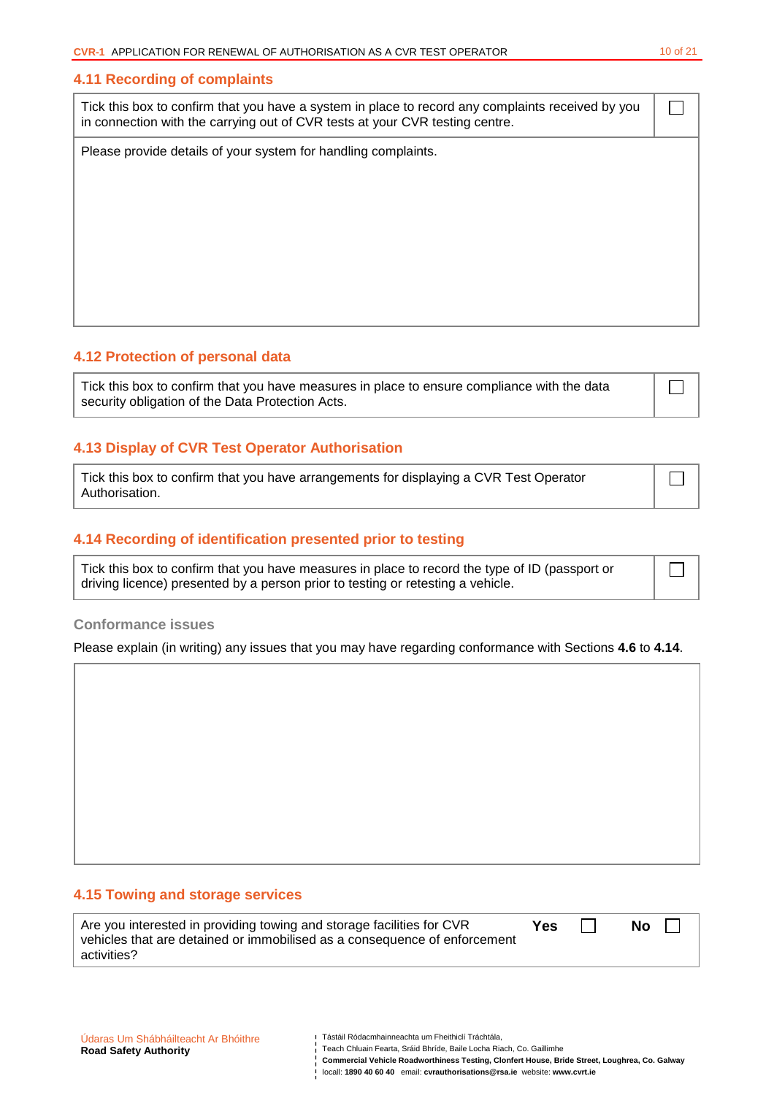#### **4.11 Recording of complaints**

Tick this box to confirm that you have a system in place to record any complaints received by you in connection with the carrying out of CVR tests at your CVR testing centre.

Please provide details of your system for handling complaints.

### **4.12 Protection of personal data**

Tick this box to confirm that you have measures in place to ensure compliance with the data security obligation of the Data Protection Acts.

### **4.13 Display of CVR Test Operator Authorisation**

Tick this box to confirm that you have arrangements for displaying a CVR Test Operator Authorisation.

#### **4.14 Recording of identification presented prior to testing**

Tick this box to confirm that you have measures in place to record the type of ID (passport or driving licence) presented by a person prior to testing or retesting a vehicle.

#### **Conformance issues**

Please explain (in writing) any issues that you may have regarding conformance with Sections **4.6** to **4.14**.

## **4.15 Towing and storage services**

| Are you interested in providing towing and storage facilities for CVR     | <b>Yes</b> | <b>No</b> |
|---------------------------------------------------------------------------|------------|-----------|
| vehicles that are detained or immobilised as a consequence of enforcement |            |           |
| activities?                                                               |            |           |

 $\Box$ 

П

 $\vert \ \ \vert$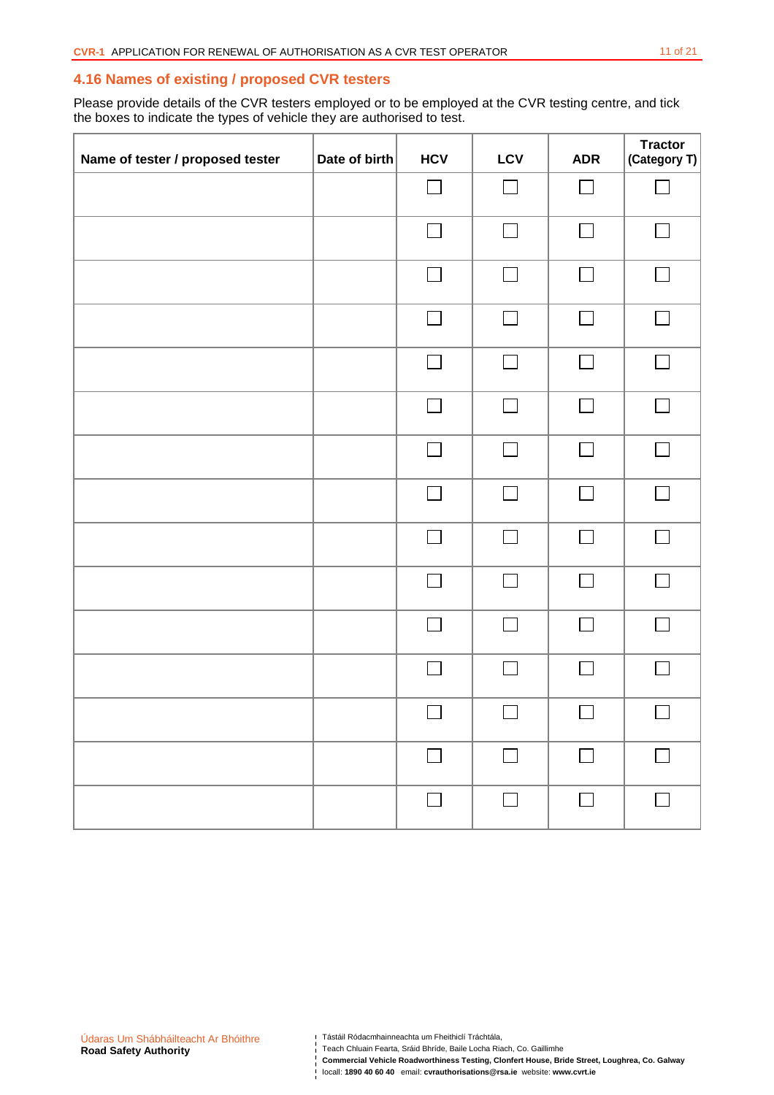### **4.16 Names of existing / proposed CVR testers**

Please provide details of the CVR testers employed or to be employed at the CVR testing centre, and tick the boxes to indicate the types of vehicle they are authorised to test.

| Name of tester / proposed tester | Date of birth | <b>HCV</b>               | LCV    | <b>ADR</b>               | <b>Tractor</b><br>(Category T) |
|----------------------------------|---------------|--------------------------|--------|--------------------------|--------------------------------|
|                                  |               |                          | П      |                          |                                |
|                                  |               | $\Box$                   | $\Box$ | $\Box$                   | $\Box$                         |
|                                  |               |                          | $\Box$ |                          |                                |
|                                  |               | $\blacksquare$           | П      | $\blacksquare$           | $\sim$                         |
|                                  |               | $\Box$                   | $\Box$ | $\Box$                   | $\Box$                         |
|                                  |               |                          | П      |                          | $\sim$                         |
|                                  |               | $\overline{\phantom{0}}$ | П      | $\mathbb{R}^n$           | $\Box$                         |
|                                  |               |                          | П      |                          | $\mathcal{L}_{\mathcal{A}}$    |
|                                  |               | $\overline{\phantom{a}}$ | П      | $\blacksquare$           | $\Box$                         |
|                                  |               | $\Box$                   | $\Box$ | $\Box$                   | $\Box$                         |
|                                  |               |                          | $\Box$ | $\overline{\phantom{a}}$ | $\Box$                         |
|                                  |               |                          | П      |                          | $\sim 10$                      |
|                                  |               |                          |        |                          |                                |
|                                  |               | $\Box$                   | $\Box$ | $\Box$                   | $\Box$                         |
|                                  |               | $\Box$                   | $\Box$ | $\Box$                   | $\Box$                         |

Teach Chluain Fearta, Sráid Bhríde, Baile Locha Riach, Co. Gaillimhe

locall: **1890 40 60 40 email: cvrauthorisations@rsa.ie** website: www.cvrt.ie<br>| locall: **1890 40 60 40** email: cvrauthorisations@rsa.ie website: www.cvrt.ie

**Commercial Vehicle Roadworthiness Testing, Clonfert House, Bride Street, Loughrea, Co. Galway**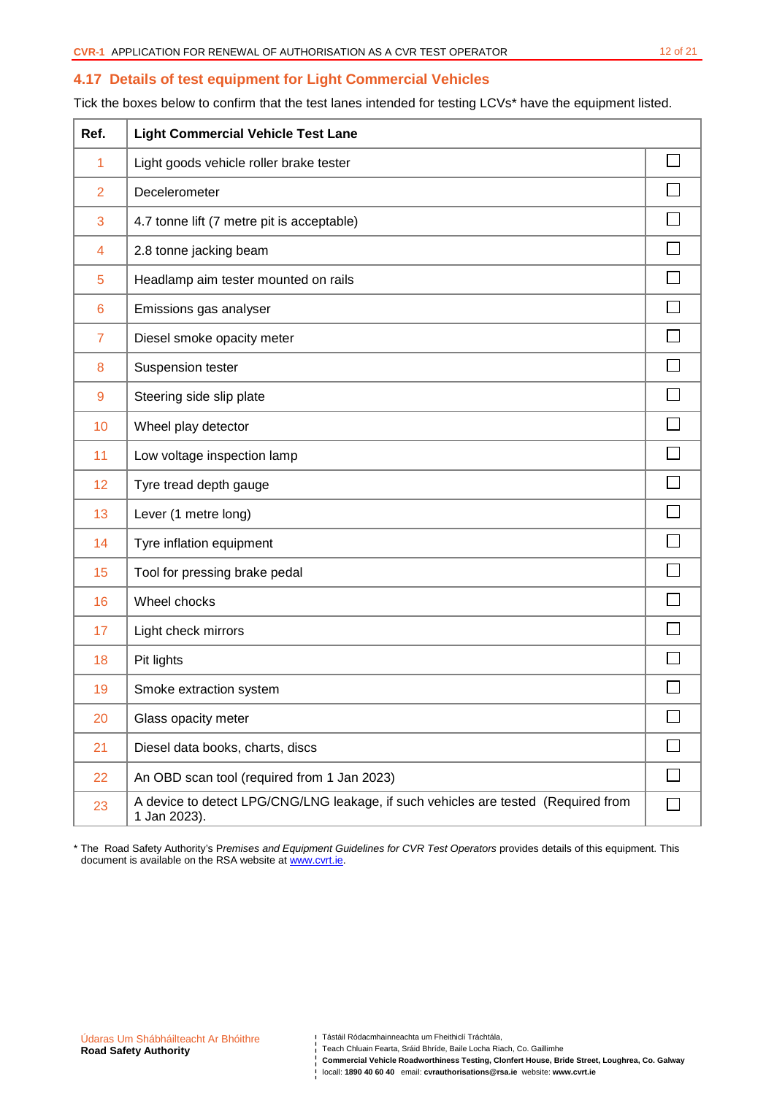### **4.17 Details of test equipment for Light Commercial Vehicles**

Tick the boxes below to confirm that the test lanes intended for testing LCVs\* have the equipment listed.

| Ref.           | <b>Light Commercial Vehicle Test Lane</b>                                                          |   |
|----------------|----------------------------------------------------------------------------------------------------|---|
| 1              | Light goods vehicle roller brake tester                                                            |   |
| $\overline{2}$ | Decelerometer                                                                                      |   |
| 3              | 4.7 tonne lift (7 metre pit is acceptable)                                                         |   |
| $\overline{4}$ | 2.8 tonne jacking beam                                                                             |   |
| 5              | Headlamp aim tester mounted on rails                                                               |   |
| 6              | Emissions gas analyser                                                                             |   |
| $\overline{7}$ | Diesel smoke opacity meter                                                                         |   |
| 8              | Suspension tester                                                                                  |   |
| 9              | Steering side slip plate                                                                           |   |
| 10             | Wheel play detector                                                                                |   |
| 11             | Low voltage inspection lamp                                                                        |   |
| 12             | Tyre tread depth gauge                                                                             |   |
| 13             | Lever (1 metre long)                                                                               |   |
| 14             | Tyre inflation equipment                                                                           |   |
| 15             | Tool for pressing brake pedal                                                                      |   |
| 16             | Wheel chocks                                                                                       |   |
| 17             | Light check mirrors                                                                                |   |
| 18             | Pit lights                                                                                         |   |
| 19             | Smoke extraction system                                                                            |   |
| 20             | Glass opacity meter                                                                                |   |
| 21             | Diesel data books, charts, discs                                                                   |   |
| 22             | An OBD scan tool (required from 1 Jan 2023)                                                        | П |
| 23             | A device to detect LPG/CNG/LNG leakage, if such vehicles are tested (Required from<br>1 Jan 2023). |   |

\* The Road Safety Authority's Premises and Equipment Guidelines for CVR Test Operators provides details of this equipment. This document is available on the RSA website at www.cvrt.ie.

Teach Chluain Fearta, Sráid Bhríde, Baile Locha Riach, Co. Gaillimhe

**Commercial Vehicle Roadworthiness Testing, Clonfert House, Bride Street, Loughrea, Co. Galway**  locall: **1890 40 60 40 email: cvrauthorisations@rsa.ie** website: www.cvrt.ie<br>| locall: **1890 40 60 40** email: cvrauthorisations@rsa.ie website: www.cvrt.ie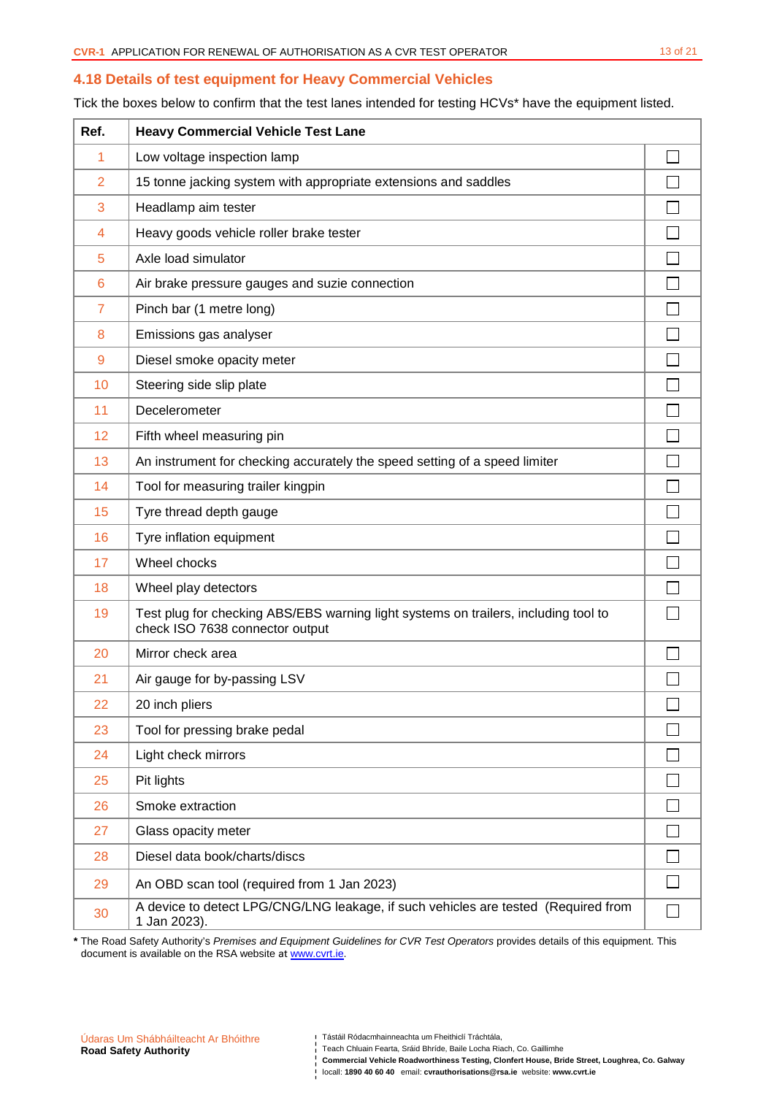#### **4.18 Details of test equipment for Heavy Commercial Vehicles**

Tick the boxes below to confirm that the test lanes intended for testing HCVs\* have the equipment listed.

| Ref.            | <b>Heavy Commercial Vehicle Test Lane</b>                                                                              |              |
|-----------------|------------------------------------------------------------------------------------------------------------------------|--------------|
| 1               | Low voltage inspection lamp                                                                                            |              |
| $\overline{2}$  | 15 tonne jacking system with appropriate extensions and saddles                                                        |              |
| 3               | Headlamp aim tester                                                                                                    |              |
| 4               | Heavy goods vehicle roller brake tester                                                                                |              |
| 5               | Axle load simulator                                                                                                    |              |
| $6\phantom{1}6$ | Air brake pressure gauges and suzie connection                                                                         |              |
| $\overline{7}$  | Pinch bar (1 metre long)                                                                                               |              |
| 8               | Emissions gas analyser                                                                                                 |              |
| $\overline{9}$  | Diesel smoke opacity meter                                                                                             |              |
| 10              | Steering side slip plate                                                                                               |              |
| 11              | Decelerometer                                                                                                          |              |
| 12              | Fifth wheel measuring pin                                                                                              |              |
| 13              | An instrument for checking accurately the speed setting of a speed limiter                                             |              |
| 14              | Tool for measuring trailer kingpin                                                                                     |              |
| 15              | Tyre thread depth gauge                                                                                                |              |
| 16              | Tyre inflation equipment                                                                                               |              |
| 17              | Wheel chocks                                                                                                           |              |
| 18              | Wheel play detectors                                                                                                   |              |
| 19              | Test plug for checking ABS/EBS warning light systems on trailers, including tool to<br>check ISO 7638 connector output |              |
| 20              | Mirror check area                                                                                                      |              |
| 21              | Air gauge for by-passing LSV                                                                                           |              |
| 22              | 20 inch pliers                                                                                                         | $\mathbf{r}$ |
| 23              | Tool for pressing brake pedal                                                                                          |              |
| 24              | Light check mirrors                                                                                                    |              |
| 25              | Pit lights                                                                                                             |              |
| 26              | Smoke extraction                                                                                                       |              |
| 27              | Glass opacity meter                                                                                                    |              |
| 28              | Diesel data book/charts/discs                                                                                          |              |
| 29              | An OBD scan tool (required from 1 Jan 2023)                                                                            |              |
| 30              | A device to detect LPG/CNG/LNG leakage, if such vehicles are tested (Required from<br>1 Jan 2023).                     |              |

**\*** The Road Safety Authority's Premises and Equipment Guidelines for CVR Test Operators provides details of this equipment. This document is available on the RSA website at www.cvrt.ie.

Teach Chluain Fearta, Sráid Bhríde, Baile Locha Riach, Co. Gaillimhe

**Commercial Vehicle Roadworthiness Testing, Clonfert House, Bride Street, Loughrea, Co. Galway**  locall: **1890 40 60 40** email: **cvrauthorisations@rsa.ie** website: **www.cvrt.ie**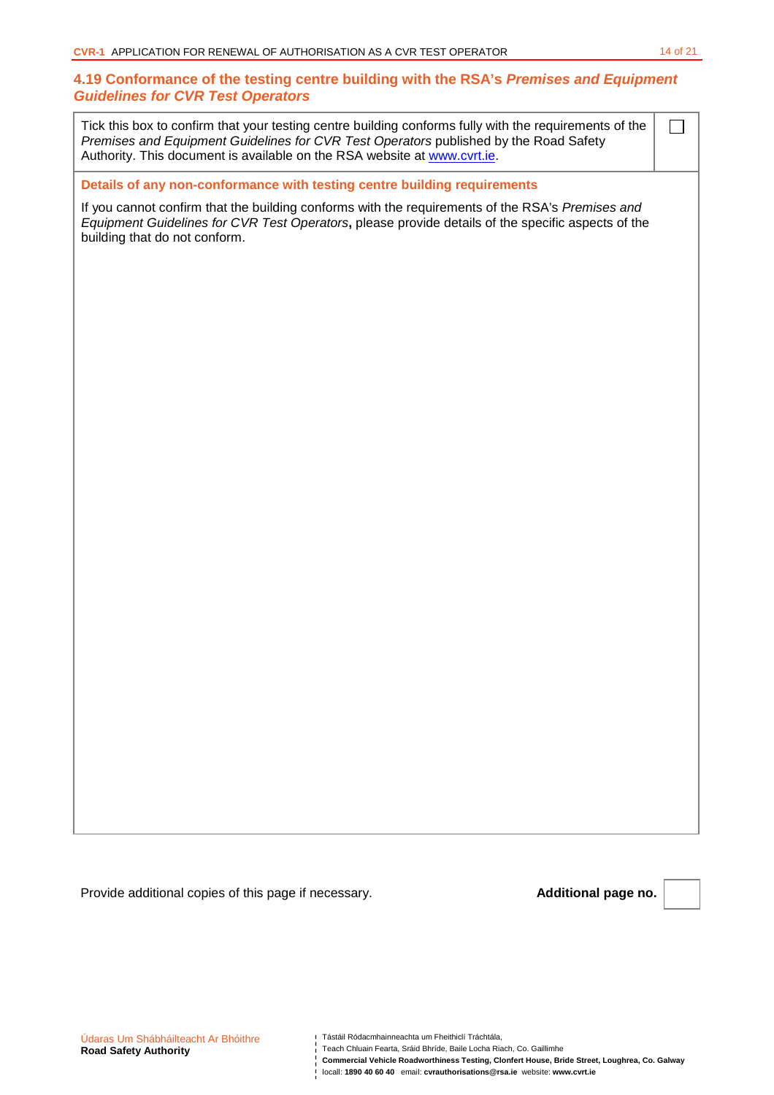## **4.19 Conformance of the testing centre building with the RSA's Premises and Equipment Guidelines for CVR Test Operators**

Tick this box to confirm that your testing centre building conforms fully with the requirements of the Premises and Equipment Guidelines for CVR Test Operators published by the Road Safety Authority. This document is available on the RSA website at www.cvrt.ie.

**Details of any non-conformance with testing centre building requirements** 

If you cannot confirm that the building conforms with the requirements of the RSA's Premises and Equipment Guidelines for CVR Test Operators**,** please provide details of the specific aspects of the building that do not conform.

Provide additional copies of this page if necessary. **Additional page no. Additional page no.** 

 $\Box$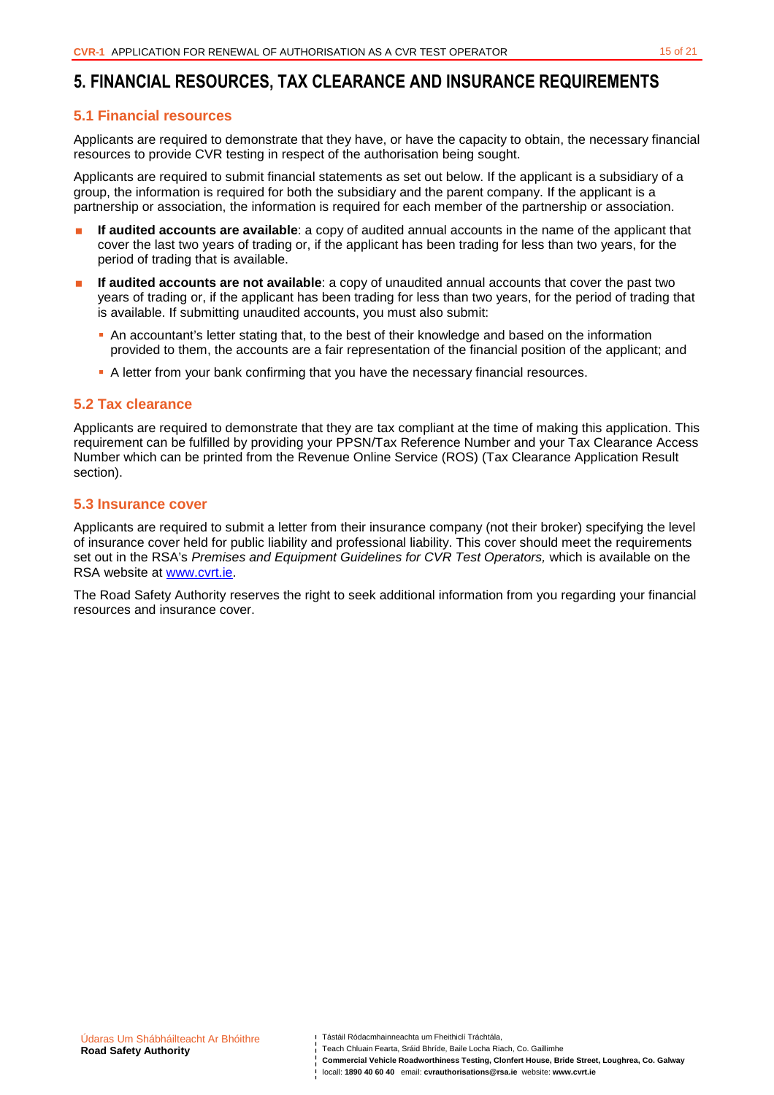## **5. FINANCIAL RESOURCES, TAX CLEARANCE AND INSURANCE REQUIREMENTS**

### **5.1 Financial resources**

Applicants are required to demonstrate that they have, or have the capacity to obtain, the necessary financial resources to provide CVR testing in respect of the authorisation being sought.

Applicants are required to submit financial statements as set out below. If the applicant is a subsidiary of a group, the information is required for both the subsidiary and the parent company. If the applicant is a partnership or association, the information is required for each member of the partnership or association.

- **If audited accounts are available**: a copy of audited annual accounts in the name of the applicant that cover the last two years of trading or, if the applicant has been trading for less than two years, for the period of trading that is available.
- **If audited accounts are not available**: a copy of unaudited annual accounts that cover the past two years of trading or, if the applicant has been trading for less than two years, for the period of trading that is available. If submitting unaudited accounts, you must also submit:
	- An accountant's letter stating that, to the best of their knowledge and based on the information provided to them, the accounts are a fair representation of the financial position of the applicant; and
	- A letter from your bank confirming that you have the necessary financial resources.

### **5.2 Tax clearance**

Applicants are required to demonstrate that they are tax compliant at the time of making this application. This requirement can be fulfilled by providing your PPSN/Tax Reference Number and your Tax Clearance Access Number which can be printed from the Revenue Online Service (ROS) (Tax Clearance Application Result section).

### **5.3 Insurance cover**

Applicants are required to submit a letter from their insurance company (not their broker) specifying the level of insurance cover held for public liability and professional liability. This cover should meet the requirements set out in the RSA's Premises and Equipment Guidelines for CVR Test Operators, which is available on the RSA website at www.cvrt.ie.

The Road Safety Authority reserves the right to seek additional information from you regarding your financial resources and insurance cover.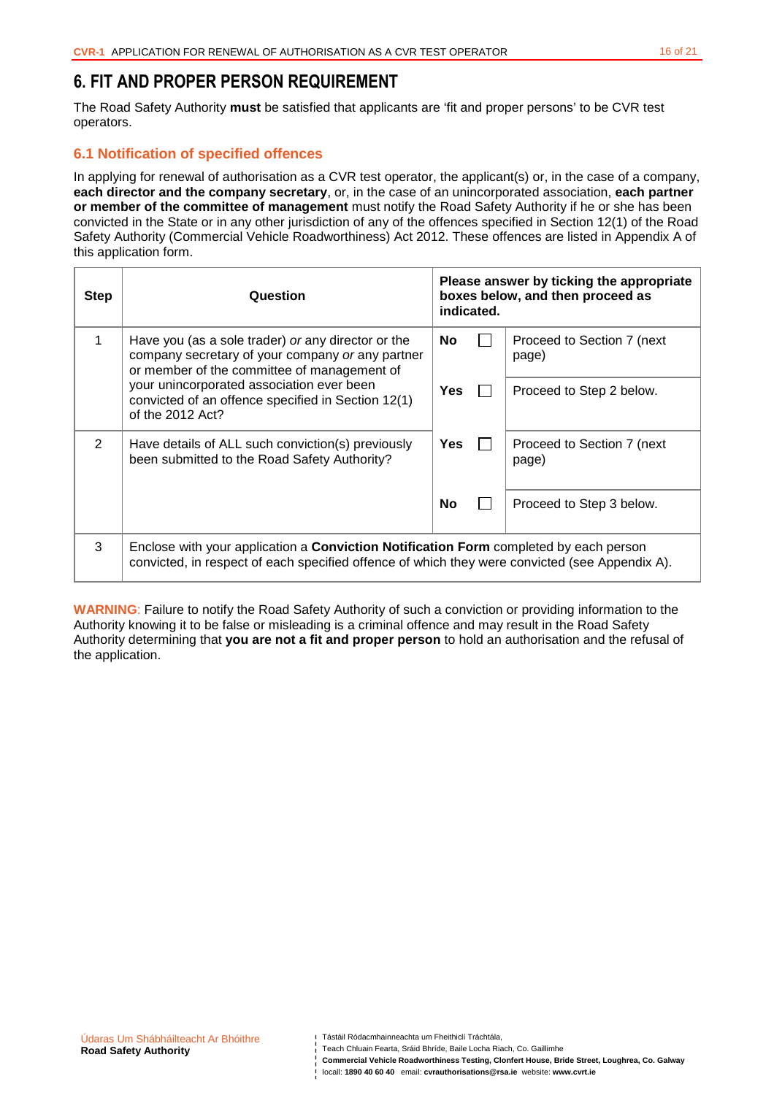## **6. FIT AND PROPER PERSON REQUIREMENT**

The Road Safety Authority **must** be satisfied that applicants are 'fit and proper persons' to be CVR test operators.

## **6.1 Notification of specified offences**

In applying for renewal of authorisation as a CVR test operator, the applicant(s) or, in the case of a company, **each director and the company secretary**, or, in the case of an unincorporated association, **each partner or member of the committee of management** must notify the Road Safety Authority if he or she has been convicted in the State or in any other jurisdiction of any of the offences specified in Section 12(1) of the Road Safety Authority (Commercial Vehicle Roadworthiness) Act 2012. These offences are listed in Appendix A of this application form.

| <b>Step</b> | Question                                                                                                                                                                                       | Please answer by ticking the appropriate<br>boxes below, and then proceed as<br>indicated. |  |                                      |  |  |
|-------------|------------------------------------------------------------------------------------------------------------------------------------------------------------------------------------------------|--------------------------------------------------------------------------------------------|--|--------------------------------------|--|--|
|             | Have you (as a sole trader) or any director or the<br>company secretary of your company or any partner<br>or member of the committee of management of                                          | No                                                                                         |  | Proceed to Section 7 (next)<br>page) |  |  |
|             | your unincorporated association ever been<br>convicted of an offence specified in Section 12(1)<br>of the $2012$ Act?                                                                          | Yes                                                                                        |  | Proceed to Step 2 below.             |  |  |
| 2           | Have details of ALL such conviction(s) previously<br>been submitted to the Road Safety Authority?                                                                                              | Yes                                                                                        |  | Proceed to Section 7 (next)<br>page) |  |  |
|             |                                                                                                                                                                                                | No                                                                                         |  | Proceed to Step 3 below.             |  |  |
| 3           | Enclose with your application a <b>Conviction Notification Form</b> completed by each person<br>convicted, in respect of each specified offence of which they were convicted (see Appendix A). |                                                                                            |  |                                      |  |  |

**WARNING**: Failure to notify the Road Safety Authority of such a conviction or providing information to the Authority knowing it to be false or misleading is a criminal offence and may result in the Road Safety Authority determining that **you are not a fit and proper person** to hold an authorisation and the refusal of the application.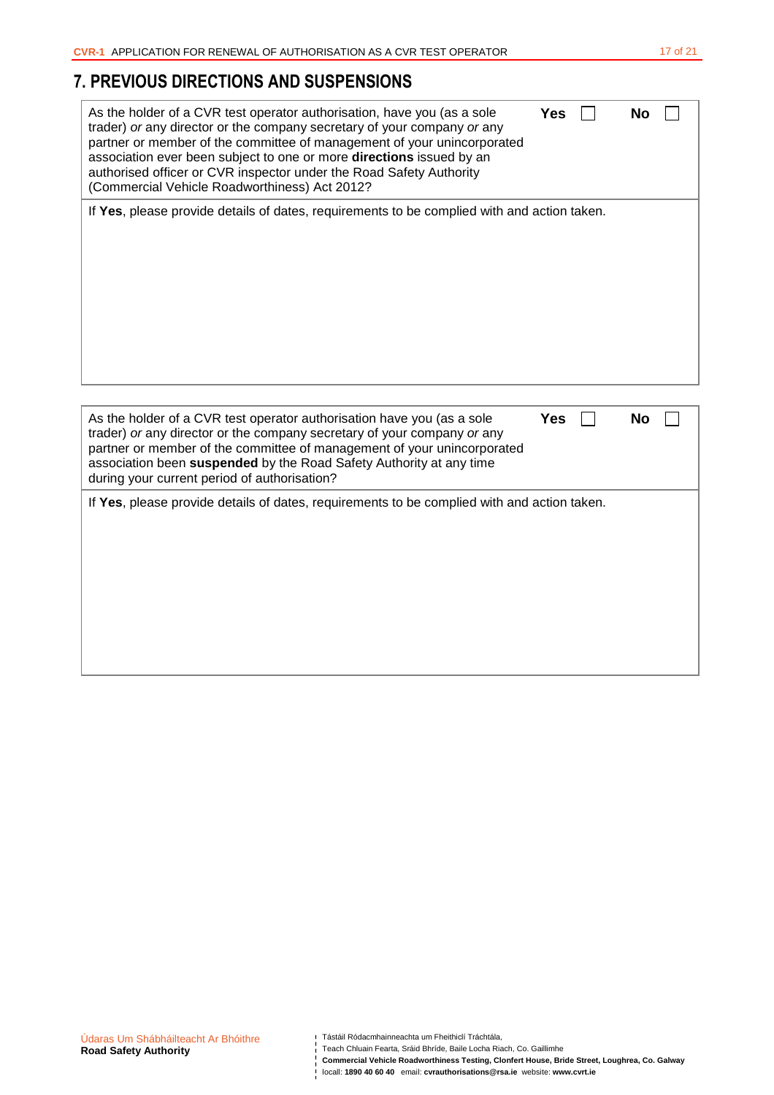# **7. PREVIOUS DIRECTIONS AND SUSPENSIONS**

| As the holder of a CVR test operator authorisation, have you (as a sole<br>trader) or any director or the company secretary of your company or any<br>partner or member of the committee of management of your unincorporated<br>association ever been subject to one or more directions issued by an<br>authorised officer or CVR inspector under the Road Safety Authority<br>(Commercial Vehicle Roadworthiness) Act 2012? | <b>Yes</b> | No |  |
|-------------------------------------------------------------------------------------------------------------------------------------------------------------------------------------------------------------------------------------------------------------------------------------------------------------------------------------------------------------------------------------------------------------------------------|------------|----|--|
| If Yes, please provide details of dates, requirements to be complied with and action taken.                                                                                                                                                                                                                                                                                                                                   |            |    |  |
| As the holder of a CVR test operator authorisation have you (as a sole<br>trader) or any director or the company secretary of your company or any<br>partner or member of the committee of management of your unincorporated<br>association been suspended by the Road Safety Authority at any time<br>during your current period of authorisation?                                                                           | <b>Yes</b> | No |  |
| If Yes, please provide details of dates, requirements to be complied with and action taken.                                                                                                                                                                                                                                                                                                                                   |            |    |  |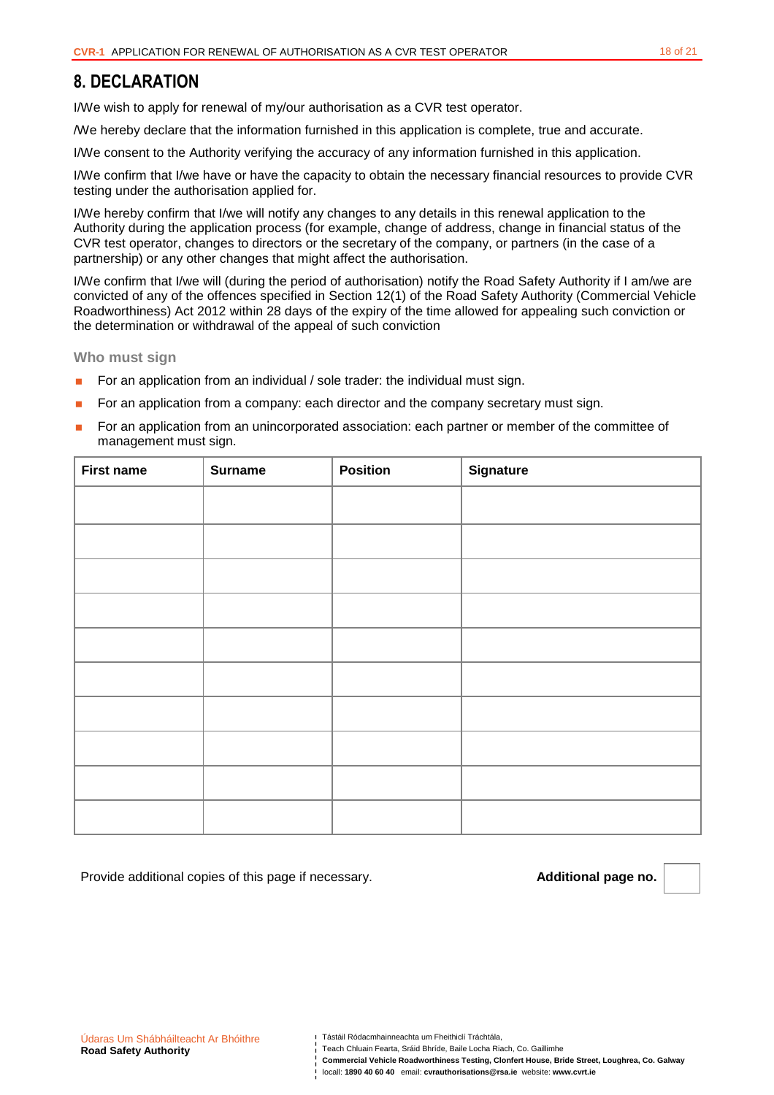## **8. DECLARATION**

I/We wish to apply for renewal of my/our authorisation as a CVR test operator.

/We hereby declare that the information furnished in this application is complete, true and accurate.

I/We consent to the Authority verifying the accuracy of any information furnished in this application.

I/We confirm that I/we have or have the capacity to obtain the necessary financial resources to provide CVR testing under the authorisation applied for.

I/We hereby confirm that I/we will notify any changes to any details in this renewal application to the Authority during the application process (for example, change of address, change in financial status of the CVR test operator, changes to directors or the secretary of the company, or partners (in the case of a partnership) or any other changes that might affect the authorisation.

I/We confirm that I/we will (during the period of authorisation) notify the Road Safety Authority if I am/we are convicted of any of the offences specified in Section 12(1) of the Road Safety Authority (Commercial Vehicle Roadworthiness) Act 2012 within 28 days of the expiry of the time allowed for appealing such conviction or the determination or withdrawal of the appeal of such conviction

**Who must sign** 

- For an application from an individual / sole trader: the individual must sign.
- For an application from a company: each director and the company secretary must sign.
- For an application from an unincorporated association: each partner or member of the committee of management must sign.

| <b>First name</b> | <b>Surname</b> | <b>Position</b> | Signature |
|-------------------|----------------|-----------------|-----------|
|                   |                |                 |           |
|                   |                |                 |           |
|                   |                |                 |           |
|                   |                |                 |           |
|                   |                |                 |           |
|                   |                |                 |           |
|                   |                |                 |           |
|                   |                |                 |           |
|                   |                |                 |           |
|                   |                |                 |           |

Provide additional copies of this page if necessary. **Additional page no. Additional page no.** 

- Teach Chluain Fearta, Sráid Bhríde, Baile Locha Riach, Co. Gaillimhe
- **Commercial Vehicle Roadworthiness Testing, Clonfert House, Bride Street, Loughrea, Co. Galway**

locall: **1890 40 60 40** email: **cvrauthorisations@rsa.ie** website: **www.cvrt.ie**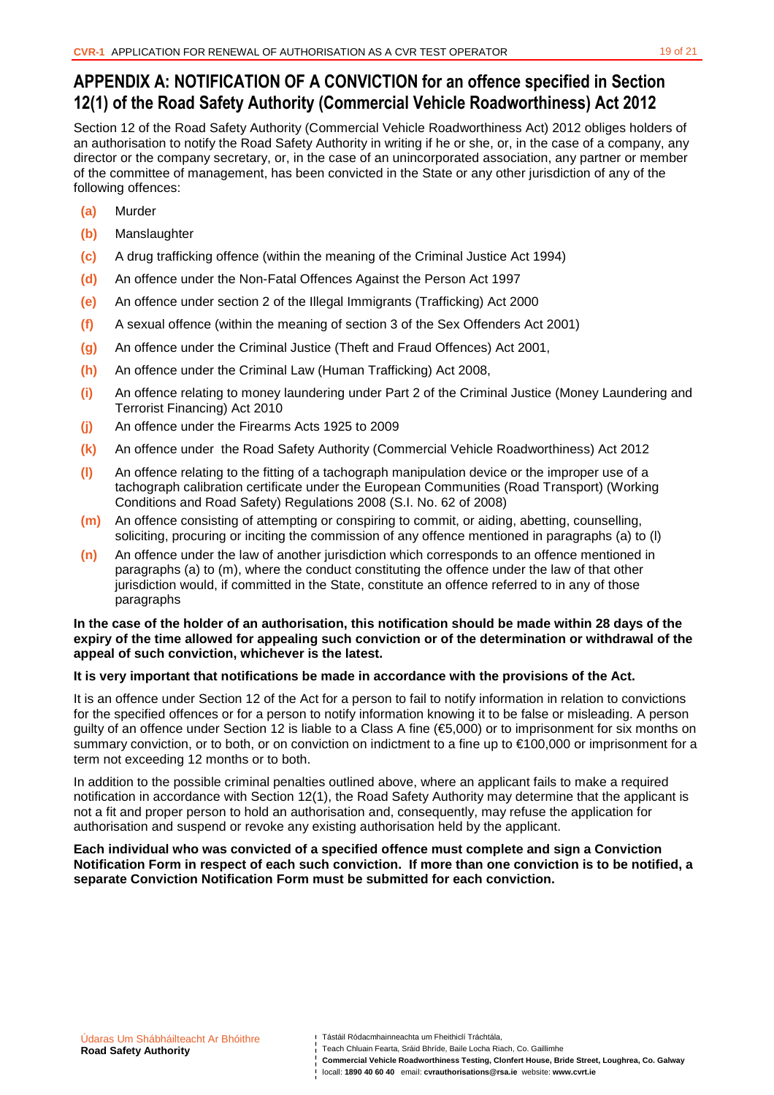# **APPENDIX A: NOTIFICATION OF A CONVICTION for an offence specified in Section 12(1) of the Road Safety Authority (Commercial Vehicle Roadworthiness) Act 2012**

Section 12 of the Road Safety Authority (Commercial Vehicle Roadworthiness Act) 2012 obliges holders of an authorisation to notify the Road Safety Authority in writing if he or she, or, in the case of a company, any director or the company secretary, or, in the case of an unincorporated association, any partner or member of the committee of management, has been convicted in the State or any other jurisdiction of any of the following offences:

- **(a)** Murder
- **(b)** Manslaughter
- **(c)** A drug trafficking offence (within the meaning of the Criminal Justice Act 1994)
- **(d)** An offence under the Non-Fatal Offences Against the Person Act 1997
- **(e)** An offence under section 2 of the Illegal Immigrants (Trafficking) Act 2000
- **(f)** A sexual offence (within the meaning of section 3 of the Sex Offenders Act 2001)
- **(g)** An offence under the Criminal Justice (Theft and Fraud Offences) Act 2001,
- **(h)** An offence under the Criminal Law (Human Trafficking) Act 2008,
- **(i)** An offence relating to money laundering under Part 2 of the Criminal Justice (Money Laundering and Terrorist Financing) Act 2010
- **(j)** An offence under the Firearms Acts 1925 to 2009
- **(k)** An offence under the Road Safety Authority (Commercial Vehicle Roadworthiness) Act 2012
- **(l)** An offence relating to the fitting of a tachograph manipulation device or the improper use of a tachograph calibration certificate under the European Communities (Road Transport) (Working Conditions and Road Safety) Regulations 2008 (S.I. No. 62 of 2008)
- **(m)** An offence consisting of attempting or conspiring to commit, or aiding, abetting, counselling, soliciting, procuring or inciting the commission of any offence mentioned in paragraphs (a) to (l)
- **(n)** An offence under the law of another jurisdiction which corresponds to an offence mentioned in paragraphs (a) to (m), where the conduct constituting the offence under the law of that other jurisdiction would, if committed in the State, constitute an offence referred to in any of those paragraphs

#### **In the case of the holder of an authorisation, this notification should be made within 28 days of the expiry of the time allowed for appealing such conviction or of the determination or withdrawal of the appeal of such conviction, whichever is the latest.**

### **It is very important that notifications be made in accordance with the provisions of the Act.**

It is an offence under Section 12 of the Act for a person to fail to notify information in relation to convictions for the specified offences or for a person to notify information knowing it to be false or misleading. A person guilty of an offence under Section 12 is liable to a Class A fine (€5,000) or to imprisonment for six months on summary conviction, or to both, or on conviction on indictment to a fine up to €100,000 or imprisonment for a term not exceeding 12 months or to both.

In addition to the possible criminal penalties outlined above, where an applicant fails to make a required notification in accordance with Section 12(1), the Road Safety Authority may determine that the applicant is not a fit and proper person to hold an authorisation and, consequently, may refuse the application for authorisation and suspend or revoke any existing authorisation held by the applicant.

#### **Each individual who was convicted of a specified offence must complete and sign a Conviction Notification Form in respect of each such conviction. If more than one conviction is to be notified, a separate Conviction Notification Form must be submitted for each conviction.**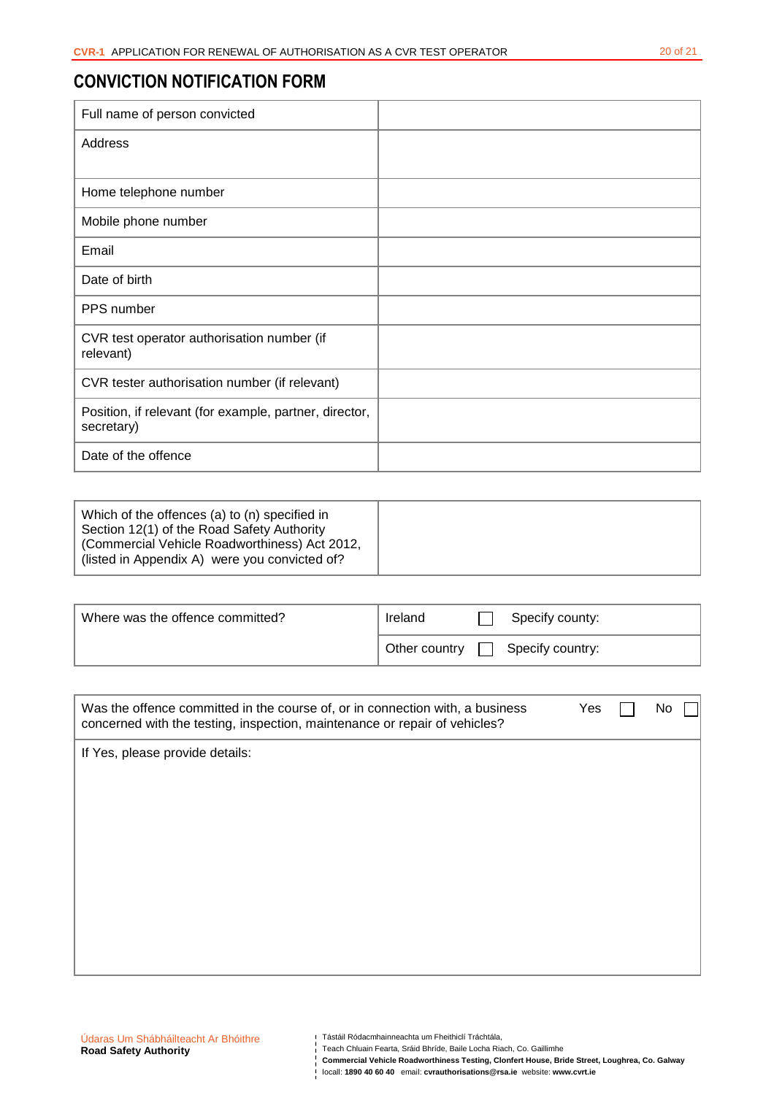# **CONVICTION NOTIFICATION FORM**

| Full name of person convicted                                        |  |
|----------------------------------------------------------------------|--|
| Address                                                              |  |
|                                                                      |  |
| Home telephone number                                                |  |
| Mobile phone number                                                  |  |
| Email                                                                |  |
| Date of birth                                                        |  |
| PPS number                                                           |  |
| CVR test operator authorisation number (if<br>relevant)              |  |
| CVR tester authorisation number (if relevant)                        |  |
| Position, if relevant (for example, partner, director,<br>secretary) |  |
| Date of the offence                                                  |  |

| Which of the offences (a) to (n) specified in<br>Section 12(1) of the Road Safety Authority    |  |
|------------------------------------------------------------------------------------------------|--|
| (Commercial Vehicle Roadworthiness) Act 2012,<br>(listed in Appendix A) were you convicted of? |  |

| Where was the offence committed? | Ireland       | Specify county:  |
|----------------------------------|---------------|------------------|
|                                  | Other country | Specify country: |

| Was the offence committed in the course of, or in connection with, a business<br>concerned with the testing, inspection, maintenance or repair of vehicles? | Yes | No |
|-------------------------------------------------------------------------------------------------------------------------------------------------------------|-----|----|
| If Yes, please provide details:                                                                                                                             |     |    |
|                                                                                                                                                             |     |    |
|                                                                                                                                                             |     |    |
|                                                                                                                                                             |     |    |
|                                                                                                                                                             |     |    |
|                                                                                                                                                             |     |    |
|                                                                                                                                                             |     |    |
|                                                                                                                                                             |     |    |

Teach Chluain Fearta, Sráid Bhríde, Baile Locha Riach, Co. Gaillimhe

**Commercial Vehicle Roadworthiness Testing, Clonfert House, Bride Street, Loughrea, Co. Galway locallitical Vehicle Roadworthiness Testing, Clonfert House, Bride Street**<br>| locall: 1890 40 60 40 email: cvrauthorisations@rsa.ie website: www.cvrt.ie